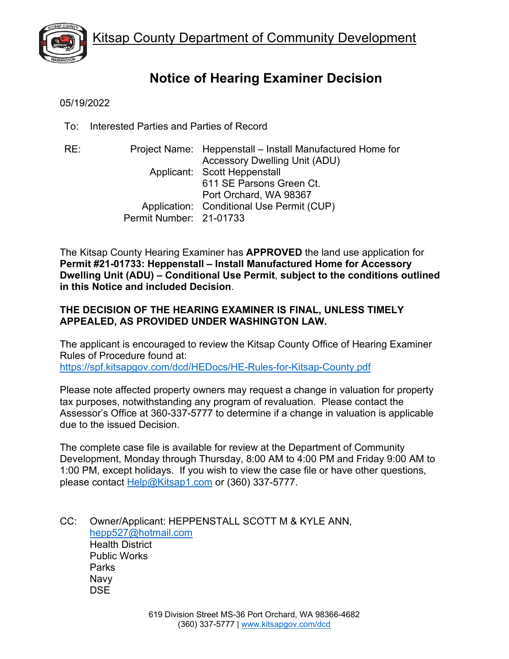

# **Notice of Hearing Examiner Decision**

05/19/2022

To: Interested Parties and Parties of Record

RE: Project Name: Heppenstall – Install Manufactured Home for Accessory Dwelling Unit (ADU) Applicant: Scott Heppenstall 611 SE Parsons Green Ct. Port Orchard, WA 98367 Application: Conditional Use Permit (CUP) Permit Number: 21-01733

The Kitsap County Hearing Examiner has **APPROVED** the land use application for **Permit #21-01733: Heppenstall – Install Manufactured Home for Accessory Dwelling Unit (ADU) – Conditional Use Permit**, **subject to the conditions outlined in this Notice and included Decision**.

# **THE DECISION OF THE HEARING EXAMINER IS FINAL, UNLESS TIMELY APPEALED, AS PROVIDED UNDER WASHINGTON LAW.**

The applicant is encouraged to review the Kitsap County Office of Hearing Examiner Rules of Procedure found at: <https://spf.kitsapgov.com/dcd/HEDocs/HE-Rules-for-Kitsap-County.pdf>

Please note affected property owners may request a change in valuation for property tax purposes, notwithstanding any program of revaluation. Please contact the Assessor's Office at 360-337-5777 to determine if a change in valuation is applicable due to the issued Decision.

The complete case file is available for review at the Department of Community Development, Monday through Thursday, 8:00 AM to 4:00 PM and Friday 9:00 AM to 1:00 PM, except holidays. If you wish to view the case file or have other questions, please contact [Help@Kitsap1.com](mailto:Help@Kitsap1.com) or (360) 337-5777.

CC: Owner/Applicant: HEPPENSTALL SCOTT M & KYLE ANN, [hepp527@hotmail.com](mailto:hepp527@hotmail.com) Health District Public Works **Parks** Navy **DSE**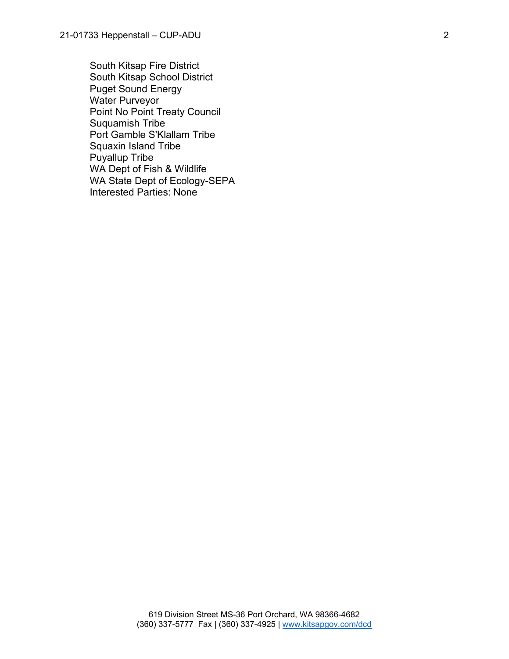South Kitsap Fire District South Kitsap School District Puget Sound Energy Water Purveyor Point No Point Treaty Council Suquamish Tribe Port Gamble S'Klallam Tribe Squaxin Island Tribe Puyallup Tribe WA Dept of Fish & Wildlife WA State Dept of Ecology-SEPA Interested Parties: None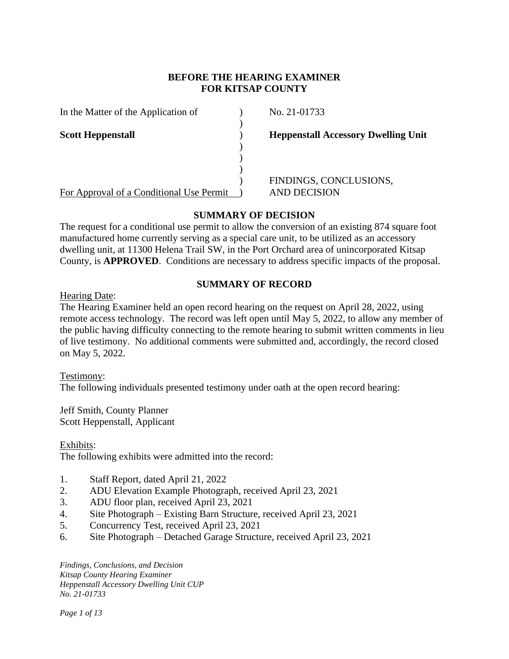# **BEFORE THE HEARING EXAMINER FOR KITSAP COUNTY**

 $\lambda$ 

) ) )

|  |  | In the Matter of the Application of |  |
|--|--|-------------------------------------|--|
|  |  |                                     |  |

For Approval of a Conditional Use Permit ) AND DECISION

 $N_{\rm O.} 21-01733$ 

**Scott Heppenstall Scott Heppenstall Heppenstall Accessory Dwelling Unit** 

) FINDINGS, CONCLUSIONS,

# **SUMMARY OF DECISION**

The request for a conditional use permit to allow the conversion of an existing 874 square foot manufactured home currently serving as a special care unit, to be utilized as an accessory dwelling unit, at 11300 Helena Trail SW, in the Port Orchard area of unincorporated Kitsap County, is **APPROVED**. Conditions are necessary to address specific impacts of the proposal.

# **SUMMARY OF RECORD**

Hearing Date:

The Hearing Examiner held an open record hearing on the request on April 28, 2022, using remote access technology. The record was left open until May 5, 2022, to allow any member of the public having difficulty connecting to the remote hearing to submit written comments in lieu of live testimony. No additional comments were submitted and, accordingly, the record closed on May 5, 2022.

Testimony: The following individuals presented testimony under oath at the open record hearing:

Jeff Smith, County Planner Scott Heppenstall, Applicant

Exhibits: The following exhibits were admitted into the record:

- 1. Staff Report, dated April 21, 2022
- 2. ADU Elevation Example Photograph, received April 23, 2021
- 3. ADU floor plan, received April 23, 2021
- 4. Site Photograph Existing Barn Structure, received April 23, 2021
- 5. Concurrency Test, received April 23, 2021
- 6. Site Photograph Detached Garage Structure, received April 23, 2021

*Findings, Conclusions, and Decision Kitsap County Hearing Examiner Heppenstall Accessory Dwelling Unit CUP No. 21-01733*

*Page 1 of 13*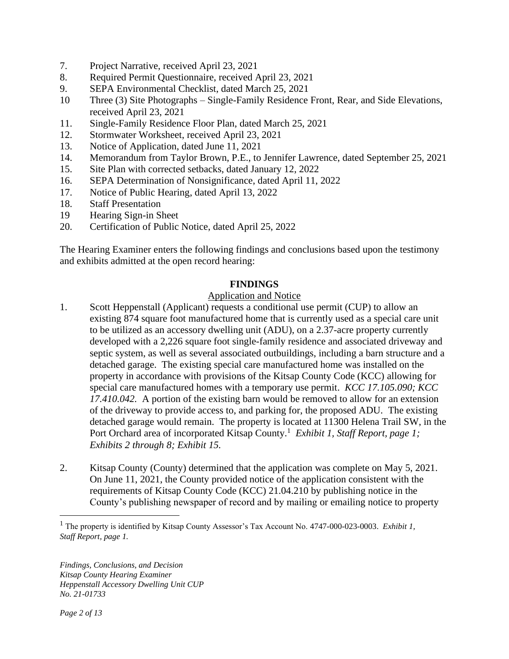- 7. Project Narrative, received April 23, 2021
- 8. Required Permit Questionnaire, received April 23, 2021
- 9. SEPA Environmental Checklist, dated March 25, 2021
- 10 Three (3) Site Photographs Single-Family Residence Front, Rear, and Side Elevations, received April 23, 2021
- 11. Single-Family Residence Floor Plan, dated March 25, 2021
- 12. Stormwater Worksheet, received April 23, 2021
- 13. Notice of Application, dated June 11, 2021
- 14. Memorandum from Taylor Brown, P.E., to Jennifer Lawrence, dated September 25, 2021
- 15. Site Plan with corrected setbacks, dated January 12, 2022
- 16. SEPA Determination of Nonsignificance, dated April 11, 2022
- 17. Notice of Public Hearing, dated April 13, 2022
- 18. Staff Presentation
- 19 Hearing Sign-in Sheet
- 20. Certification of Public Notice, dated April 25, 2022

The Hearing Examiner enters the following findings and conclusions based upon the testimony and exhibits admitted at the open record hearing:

#### **FINDINGS**

#### Application and Notice

- 1. Scott Heppenstall (Applicant) requests a conditional use permit (CUP) to allow an existing 874 square foot manufactured home that is currently used as a special care unit to be utilized as an accessory dwelling unit (ADU), on a 2.37-acre property currently developed with a 2,226 square foot single-family residence and associated driveway and septic system, as well as several associated outbuildings, including a barn structure and a detached garage. The existing special care manufactured home was installed on the property in accordance with provisions of the Kitsap County Code (KCC) allowing for special care manufactured homes with a temporary use permit. *KCC 17.105.090; KCC 17.410.042.* A portion of the existing barn would be removed to allow for an extension of the driveway to provide access to, and parking for, the proposed ADU. The existing detached garage would remain. The property is located at 11300 Helena Trail SW, in the Port Orchard area of incorporated Kitsap County.<sup>1</sup> *Exhibit 1, Staff Report, page 1; Exhibits 2 through 8; Exhibit 15.*
- 2. Kitsap County (County) determined that the application was complete on May 5, 2021. On June 11, 2021, the County provided notice of the application consistent with the requirements of Kitsap County Code (KCC) 21.04.210 by publishing notice in the County's publishing newspaper of record and by mailing or emailing notice to property

<sup>1</sup> The property is identified by Kitsap County Assessor's Tax Account No. 4747-000-023-0003. *Exhibit 1, Staff Report, page 1.*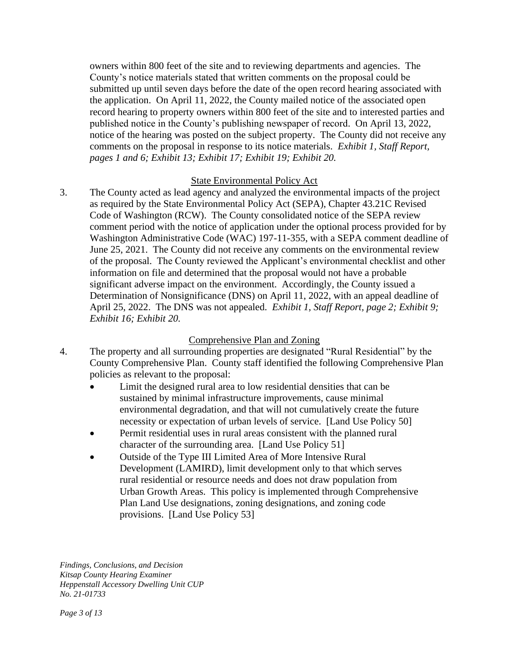owners within 800 feet of the site and to reviewing departments and agencies. The County's notice materials stated that written comments on the proposal could be submitted up until seven days before the date of the open record hearing associated with the application. On April 11, 2022, the County mailed notice of the associated open record hearing to property owners within 800 feet of the site and to interested parties and published notice in the County's publishing newspaper of record. On April 13, 2022, notice of the hearing was posted on the subject property. The County did not receive any comments on the proposal in response to its notice materials. *Exhibit 1, Staff Report, pages 1 and 6; Exhibit 13; Exhibit 17; Exhibit 19; Exhibit 20.*

#### State Environmental Policy Act

3. The County acted as lead agency and analyzed the environmental impacts of the project as required by the State Environmental Policy Act (SEPA), Chapter 43.21C Revised Code of Washington (RCW). The County consolidated notice of the SEPA review comment period with the notice of application under the optional process provided for by Washington Administrative Code (WAC) 197-11-355, with a SEPA comment deadline of June 25, 2021. The County did not receive any comments on the environmental review of the proposal. The County reviewed the Applicant's environmental checklist and other information on file and determined that the proposal would not have a probable significant adverse impact on the environment. Accordingly, the County issued a Determination of Nonsignificance (DNS) on April 11, 2022, with an appeal deadline of April 25, 2022. The DNS was not appealed. *Exhibit 1, Staff Report, page 2; Exhibit 9; Exhibit 16; Exhibit 20.*

# Comprehensive Plan and Zoning

- 4. The property and all surrounding properties are designated "Rural Residential" by the County Comprehensive Plan. County staff identified the following Comprehensive Plan policies as relevant to the proposal:
	- Limit the designed rural area to low residential densities that can be sustained by minimal infrastructure improvements, cause minimal environmental degradation, and that will not cumulatively create the future necessity or expectation of urban levels of service. [Land Use Policy 50]
	- Permit residential uses in rural areas consistent with the planned rural character of the surrounding area. [Land Use Policy 51]
	- Outside of the Type III Limited Area of More Intensive Rural Development (LAMIRD), limit development only to that which serves rural residential or resource needs and does not draw population from Urban Growth Areas. This policy is implemented through Comprehensive Plan Land Use designations, zoning designations, and zoning code provisions. [Land Use Policy 53]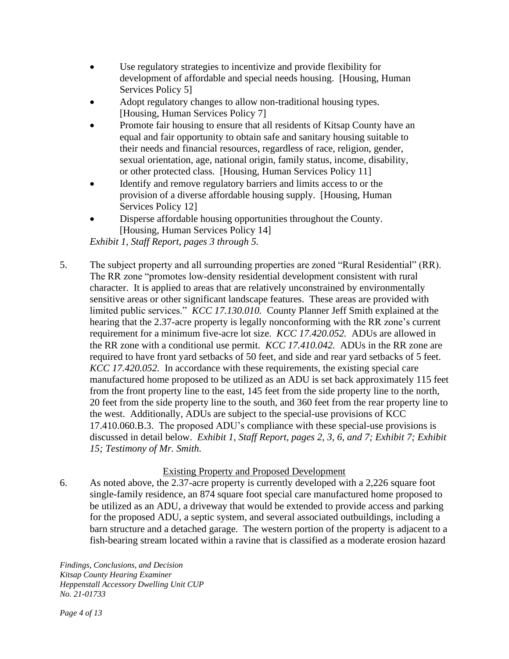- Use regulatory strategies to incentivize and provide flexibility for development of affordable and special needs housing. [Housing, Human Services Policy 5]
- Adopt regulatory changes to allow non-traditional housing types. [Housing, Human Services Policy 7]
- Promote fair housing to ensure that all residents of Kitsap County have an equal and fair opportunity to obtain safe and sanitary housing suitable to their needs and financial resources, regardless of race, religion, gender, sexual orientation, age, national origin, family status, income, disability, or other protected class. [Housing, Human Services Policy 11]
- Identify and remove regulatory barriers and limits access to or the provision of a diverse affordable housing supply. [Housing, Human Services Policy 12]
- Disperse affordable housing opportunities throughout the County. [Housing, Human Services Policy 14]

*Exhibit 1, Staff Report, pages 3 through 5.*

5. The subject property and all surrounding properties are zoned "Rural Residential" (RR). The RR zone "promotes low-density residential development consistent with rural character. It is applied to areas that are relatively unconstrained by environmentally sensitive areas or other significant landscape features. These areas are provided with limited public services." *KCC 17.130.010.* County Planner Jeff Smith explained at the hearing that the 2.37-acre property is legally nonconforming with the RR zone's current requirement for a minimum five-acre lot size. *KCC 17.420.052.* ADUs are allowed in the RR zone with a conditional use permit. *KCC 17.410.042.* ADUs in the RR zone are required to have front yard setbacks of 50 feet, and side and rear yard setbacks of 5 feet. *KCC 17.420.052.* In accordance with these requirements, the existing special care manufactured home proposed to be utilized as an ADU is set back approximately 115 feet from the front property line to the east, 145 feet from the side property line to the north, 20 feet from the side property line to the south, and 360 feet from the rear property line to the west. Additionally, ADUs are subject to the special-use provisions of KCC 17.410.060.B.3. The proposed ADU's compliance with these special-use provisions is discussed in detail below. *Exhibit 1, Staff Report, pages 2, 3, 6, and 7; Exhibit 7; Exhibit 15; Testimony of Mr. Smith.*

# Existing Property and Proposed Development

6. As noted above, the 2.37-acre property is currently developed with a 2,226 square foot single-family residence, an 874 square foot special care manufactured home proposed to be utilized as an ADU, a driveway that would be extended to provide access and parking for the proposed ADU, a septic system, and several associated outbuildings, including a barn structure and a detached garage. The western portion of the property is adjacent to a fish-bearing stream located within a ravine that is classified as a moderate erosion hazard

*Findings, Conclusions, and Decision Kitsap County Hearing Examiner Heppenstall Accessory Dwelling Unit CUP No. 21-01733*

*Page 4 of 13*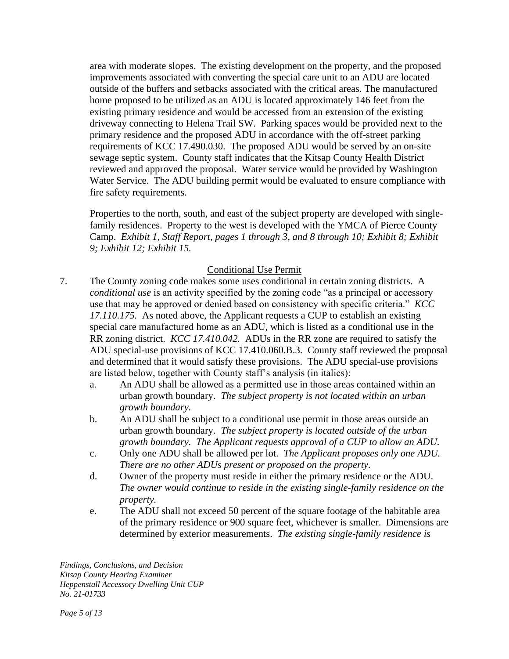area with moderate slopes. The existing development on the property, and the proposed improvements associated with converting the special care unit to an ADU are located outside of the buffers and setbacks associated with the critical areas. The manufactured home proposed to be utilized as an ADU is located approximately 146 feet from the existing primary residence and would be accessed from an extension of the existing driveway connecting to Helena Trail SW. Parking spaces would be provided next to the primary residence and the proposed ADU in accordance with the off-street parking requirements of KCC 17.490.030. The proposed ADU would be served by an on-site sewage septic system. County staff indicates that the Kitsap County Health District reviewed and approved the proposal. Water service would be provided by Washington Water Service. The ADU building permit would be evaluated to ensure compliance with fire safety requirements.

Properties to the north, south, and east of the subject property are developed with singlefamily residences. Property to the west is developed with the YMCA of Pierce County Camp. *Exhibit 1, Staff Report, pages 1 through 3, and 8 through 10; Exhibit 8; Exhibit 9; Exhibit 12; Exhibit 15.*

### Conditional Use Permit

- 7. The County zoning code makes some uses conditional in certain zoning districts. A *conditional use* is an activity specified by the zoning code "as a principal or accessory use that may be approved or denied based on consistency with specific criteria." *KCC 17.110.175.* As noted above, the Applicant requests a CUP to establish an existing special care manufactured home as an ADU, which is listed as a conditional use in the RR zoning district. *KCC 17.410.042.* ADUs in the RR zone are required to satisfy the ADU special-use provisions of KCC 17.410.060.B.3. County staff reviewed the proposal and determined that it would satisfy these provisions. The ADU special-use provisions are listed below, together with County staff's analysis (in italics):
	- a. An ADU shall be allowed as a permitted use in those areas contained within an urban growth boundary. *The subject property is not located within an urban growth boundary.*
	- b. An ADU shall be subject to a conditional use permit in those areas outside an urban growth boundary. *The subject property is located outside of the urban growth boundary. The Applicant requests approval of a CUP to allow an ADU.*
	- c. Only one ADU shall be allowed per lot. *The Applicant proposes only one ADU. There are no other ADUs present or proposed on the property.*
	- d. Owner of the property must reside in either the primary residence or the ADU. *The owner would continue to reside in the existing single-family residence on the property.*
	- e. The ADU shall not exceed 50 percent of the square footage of the habitable area of the primary residence or 900 square feet, whichever is smaller. Dimensions are determined by exterior measurements. *The existing single-family residence is*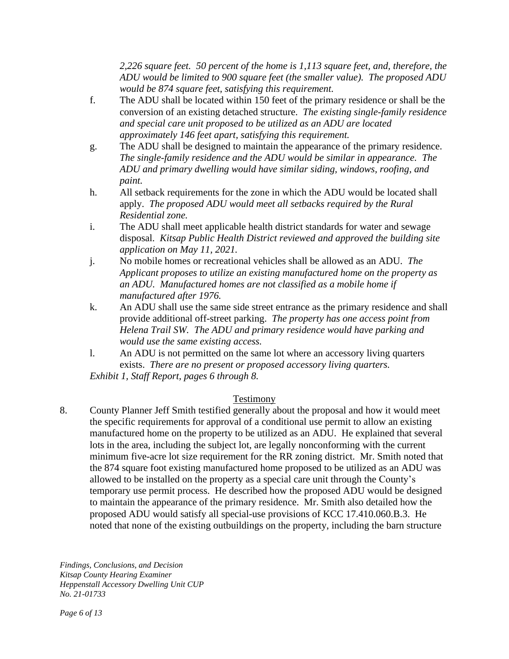*2,226 square feet. 50 percent of the home is 1,113 square feet, and, therefore, the ADU would be limited to 900 square feet (the smaller value). The proposed ADU would be 874 square feet, satisfying this requirement.* 

- f. The ADU shall be located within 150 feet of the primary residence or shall be the conversion of an existing detached structure. *The existing single-family residence and special care unit proposed to be utilized as an ADU are located approximately 146 feet apart, satisfying this requirement.*
- g. The ADU shall be designed to maintain the appearance of the primary residence. *The single-family residence and the ADU would be similar in appearance. The ADU and primary dwelling would have similar siding, windows, roofing, and paint.*
- h. All setback requirements for the zone in which the ADU would be located shall apply. *The proposed ADU would meet all setbacks required by the Rural Residential zone.*
- i. The ADU shall meet applicable health district standards for water and sewage disposal. *Kitsap Public Health District reviewed and approved the building site application on May 11, 2021.*
- j. No mobile homes or recreational vehicles shall be allowed as an ADU. *The Applicant proposes to utilize an existing manufactured home on the property as an ADU. Manufactured homes are not classified as a mobile home if manufactured after 1976.*
- k. An ADU shall use the same side street entrance as the primary residence and shall provide additional off-street parking. *The property has one access point from Helena Trail SW. The ADU and primary residence would have parking and would use the same existing access.*
- l. An ADU is not permitted on the same lot where an accessory living quarters exists. *There are no present or proposed accessory living quarters.*

*Exhibit 1, Staff Report, pages 6 through 8.*

# Testimony

8. County Planner Jeff Smith testified generally about the proposal and how it would meet the specific requirements for approval of a conditional use permit to allow an existing manufactured home on the property to be utilized as an ADU. He explained that several lots in the area, including the subject lot, are legally nonconforming with the current minimum five-acre lot size requirement for the RR zoning district. Mr. Smith noted that the 874 square foot existing manufactured home proposed to be utilized as an ADU was allowed to be installed on the property as a special care unit through the County's temporary use permit process. He described how the proposed ADU would be designed to maintain the appearance of the primary residence. Mr. Smith also detailed how the proposed ADU would satisfy all special-use provisions of KCC 17.410.060.B.3. He noted that none of the existing outbuildings on the property, including the barn structure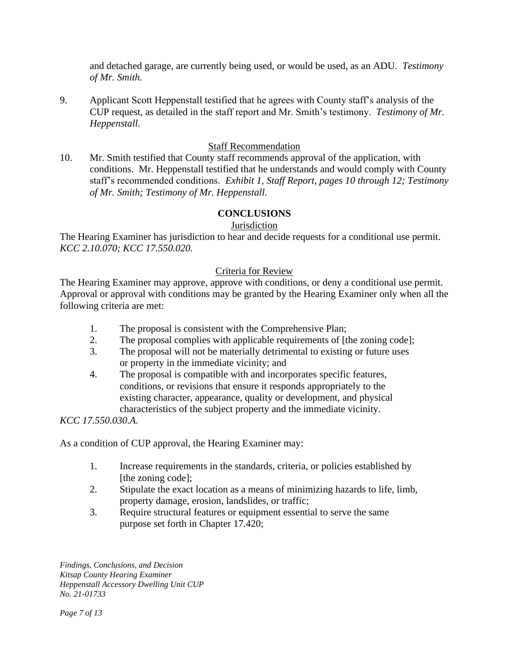and detached garage, are currently being used, or would be used, as an ADU. *Testimony of Mr. Smith.*

9. Applicant Scott Heppenstall testified that he agrees with County staff's analysis of the CUP request, as detailed in the staff report and Mr. Smith's testimony. *Testimony of Mr. Heppenstall.*

## Staff Recommendation

10. Mr. Smith testified that County staff recommends approval of the application, with conditions. Mr. Heppenstall testified that he understands and would comply with County staff's recommended conditions. *Exhibit 1, Staff Report, pages 10 through 12; Testimony of Mr. Smith; Testimony of Mr. Heppenstall.*

### **CONCLUSIONS**

#### **Jurisdiction**

The Hearing Examiner has jurisdiction to hear and decide requests for a conditional use permit. *KCC 2.10.070; KCC 17.550.020.*

#### Criteria for Review

The Hearing Examiner may approve, approve with conditions, or deny a conditional use permit. Approval or approval with conditions may be granted by the Hearing Examiner only when all the following criteria are met:

- 1. The proposal is consistent with the Comprehensive Plan;
- 2. The proposal complies with applicable requirements of [the zoning code];
- 3. The proposal will not be materially detrimental to existing or future uses or property in the immediate vicinity; and
- 4. The proposal is compatible with and incorporates specific features, conditions, or revisions that ensure it responds appropriately to the existing character, appearance, quality or development, and physical characteristics of the subject property and the immediate vicinity.

#### *KCC 17.550.030.A.*

As a condition of CUP approval, the Hearing Examiner may:

- 1. Increase requirements in the standards, criteria, or policies established by [the zoning code];
- 2. Stipulate the exact location as a means of minimizing hazards to life, limb, property damage, erosion, landslides, or traffic;
- 3. Require structural features or equipment essential to serve the same purpose set forth in Chapter 17.420;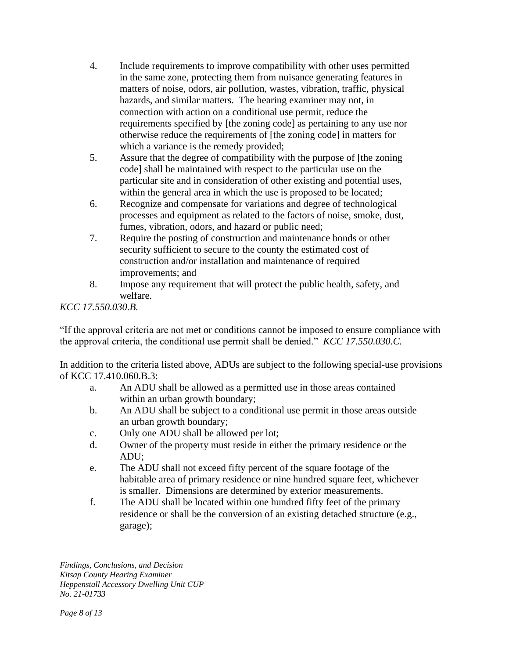- 4. Include requirements to improve compatibility with other uses permitted in the same zone, protecting them from nuisance generating features in matters of noise, odors, air pollution, wastes, vibration, traffic, physical hazards, and similar matters. The hearing examiner may not, in connection with action on a conditional use permit, reduce the requirements specified by [the zoning code] as pertaining to any use nor otherwise reduce the requirements of [the zoning code] in matters for which a variance is the remedy provided;
- 5. Assure that the degree of compatibility with the purpose of [the zoning code] shall be maintained with respect to the particular use on the particular site and in consideration of other existing and potential uses, within the general area in which the use is proposed to be located;
- 6. Recognize and compensate for variations and degree of technological processes and equipment as related to the factors of noise, smoke, dust, fumes, vibration, odors, and hazard or public need;
- 7. Require the posting of construction and maintenance bonds or other security sufficient to secure to the county the estimated cost of construction and/or installation and maintenance of required improvements; and
- 8. Impose any requirement that will protect the public health, safety, and welfare.

# *KCC 17.550.030.B.*

"If the approval criteria are not met or conditions cannot be imposed to ensure compliance with the approval criteria, the conditional use permit shall be denied." *KCC 17.550.030.C.*

In addition to the criteria listed above, ADUs are subject to the following special-use provisions of KCC 17.410.060.B.3:

- a. An ADU shall be allowed as a permitted use in those areas contained within an urban growth boundary;
- b. An ADU shall be subject to a conditional use permit in those areas outside an urban growth boundary;
- c. Only one ADU shall be allowed per lot;
- d. Owner of the property must reside in either the primary residence or the ADU;
- e. The ADU shall not exceed fifty percent of the square footage of the habitable area of primary residence or nine hundred square feet, whichever is smaller. Dimensions are determined by exterior measurements.
- f. The ADU shall be located within one hundred fifty feet of the primary residence or shall be the conversion of an existing detached structure (e.g., garage);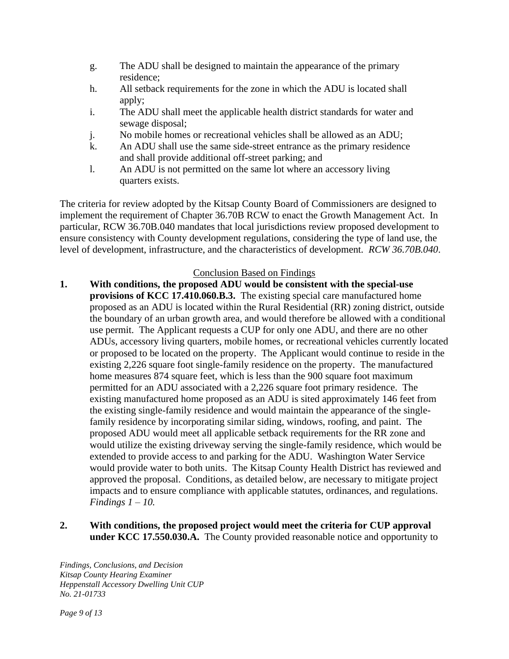- g. The ADU shall be designed to maintain the appearance of the primary residence;
- h. All setback requirements for the zone in which the ADU is located shall apply;
- i. The ADU shall meet the applicable health district standards for water and sewage disposal;
- j. No mobile homes or recreational vehicles shall be allowed as an ADU;
- k. An ADU shall use the same side-street entrance as the primary residence and shall provide additional off-street parking; and
- l. An ADU is not permitted on the same lot where an accessory living quarters exists.

The criteria for review adopted by the Kitsap County Board of Commissioners are designed to implement the requirement of Chapter 36.70B RCW to enact the Growth Management Act. In particular, RCW 36.70B.040 mandates that local jurisdictions review proposed development to ensure consistency with County development regulations, considering the type of land use, the level of development, infrastructure, and the characteristics of development. *RCW 36.70B.040*.

# Conclusion Based on Findings

- **1. With conditions, the proposed ADU would be consistent with the special-use provisions of KCC 17.410.060.B.3.** The existing special care manufactured home proposed as an ADU is located within the Rural Residential (RR) zoning district, outside the boundary of an urban growth area, and would therefore be allowed with a conditional use permit. The Applicant requests a CUP for only one ADU, and there are no other ADUs, accessory living quarters, mobile homes, or recreational vehicles currently located or proposed to be located on the property. The Applicant would continue to reside in the existing 2,226 square foot single-family residence on the property. The manufactured home measures 874 square feet, which is less than the 900 square foot maximum permitted for an ADU associated with a 2,226 square foot primary residence. The existing manufactured home proposed as an ADU is sited approximately 146 feet from the existing single-family residence and would maintain the appearance of the singlefamily residence by incorporating similar siding, windows, roofing, and paint. The proposed ADU would meet all applicable setback requirements for the RR zone and would utilize the existing driveway serving the single-family residence, which would be extended to provide access to and parking for the ADU. Washington Water Service would provide water to both units. The Kitsap County Health District has reviewed and approved the proposal. Conditions, as detailed below, are necessary to mitigate project impacts and to ensure compliance with applicable statutes, ordinances, and regulations. *Findings 1 – 10.*
- **2. With conditions, the proposed project would meet the criteria for CUP approval under KCC 17.550.030.A.** The County provided reasonable notice and opportunity to

*Findings, Conclusions, and Decision Kitsap County Hearing Examiner Heppenstall Accessory Dwelling Unit CUP No. 21-01733*

*Page 9 of 13*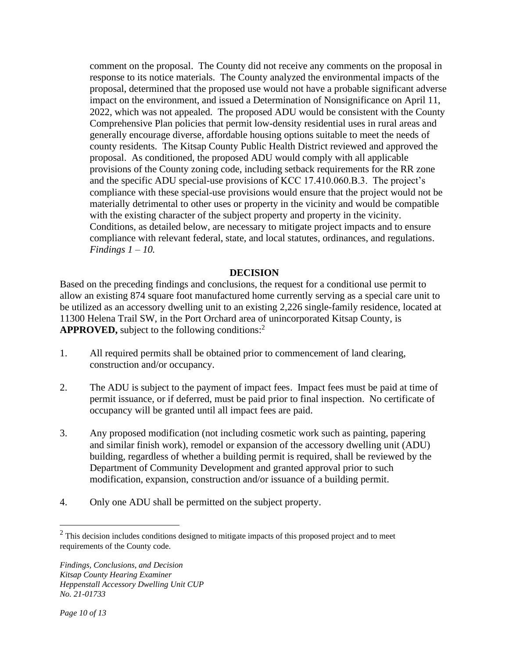comment on the proposal. The County did not receive any comments on the proposal in response to its notice materials. The County analyzed the environmental impacts of the proposal, determined that the proposed use would not have a probable significant adverse impact on the environment, and issued a Determination of Nonsignificance on April 11, 2022, which was not appealed. The proposed ADU would be consistent with the County Comprehensive Plan policies that permit low-density residential uses in rural areas and generally encourage diverse, affordable housing options suitable to meet the needs of county residents. The Kitsap County Public Health District reviewed and approved the proposal. As conditioned, the proposed ADU would comply with all applicable provisions of the County zoning code, including setback requirements for the RR zone and the specific ADU special-use provisions of KCC 17.410.060.B.3. The project's compliance with these special-use provisions would ensure that the project would not be materially detrimental to other uses or property in the vicinity and would be compatible with the existing character of the subject property and property in the vicinity. Conditions, as detailed below, are necessary to mitigate project impacts and to ensure compliance with relevant federal, state, and local statutes, ordinances, and regulations. *Findings 1 – 10.*

#### **DECISION**

Based on the preceding findings and conclusions, the request for a conditional use permit to allow an existing 874 square foot manufactured home currently serving as a special care unit to be utilized as an accessory dwelling unit to an existing 2,226 single-family residence, located at 11300 Helena Trail SW, in the Port Orchard area of unincorporated Kitsap County, is **APPROVED,** subject to the following conditions:<sup>2</sup>

- 1. All required permits shall be obtained prior to commencement of land clearing, construction and/or occupancy.
- 2. The ADU is subject to the payment of impact fees. Impact fees must be paid at time of permit issuance, or if deferred, must be paid prior to final inspection. No certificate of occupancy will be granted until all impact fees are paid.
- 3. Any proposed modification (not including cosmetic work such as painting, papering and similar finish work), remodel or expansion of the accessory dwelling unit (ADU) building, regardless of whether a building permit is required, shall be reviewed by the Department of Community Development and granted approval prior to such modification, expansion, construction and/or issuance of a building permit.
- 4. Only one ADU shall be permitted on the subject property.

 $2$  This decision includes conditions designed to mitigate impacts of this proposed project and to meet requirements of the County code.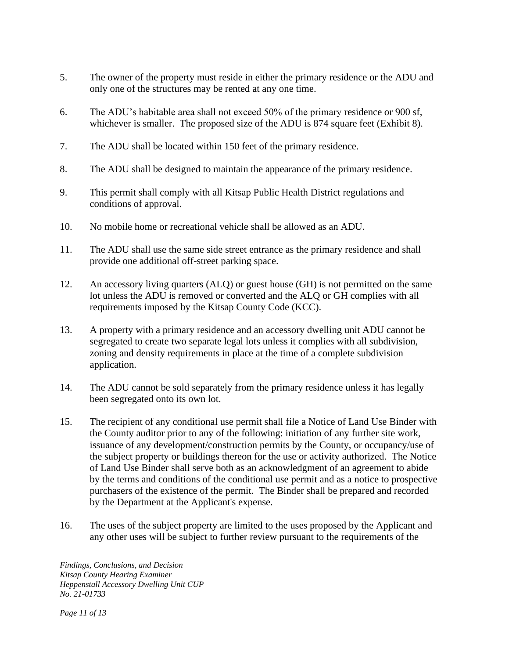- 5. The owner of the property must reside in either the primary residence or the ADU and only one of the structures may be rented at any one time.
- 6. The ADU's habitable area shall not exceed 50% of the primary residence or 900 sf, whichever is smaller. The proposed size of the ADU is 874 square feet (Exhibit 8).
- 7. The ADU shall be located within 150 feet of the primary residence.
- 8. The ADU shall be designed to maintain the appearance of the primary residence.
- 9. This permit shall comply with all Kitsap Public Health District regulations and conditions of approval.
- 10. No mobile home or recreational vehicle shall be allowed as an ADU.
- 11. The ADU shall use the same side street entrance as the primary residence and shall provide one additional off-street parking space.
- 12. An accessory living quarters (ALQ) or guest house (GH) is not permitted on the same lot unless the ADU is removed or converted and the ALQ or GH complies with all requirements imposed by the Kitsap County Code (KCC).
- 13. A property with a primary residence and an accessory dwelling unit ADU cannot be segregated to create two separate legal lots unless it complies with all subdivision, zoning and density requirements in place at the time of a complete subdivision application.
- 14. The ADU cannot be sold separately from the primary residence unless it has legally been segregated onto its own lot.
- 15. The recipient of any conditional use permit shall file a Notice of Land Use Binder with the County auditor prior to any of the following: initiation of any further site work, issuance of any development/construction permits by the County, or occupancy/use of the subject property or buildings thereon for the use or activity authorized. The Notice of Land Use Binder shall serve both as an acknowledgment of an agreement to abide by the terms and conditions of the conditional use permit and as a notice to prospective purchasers of the existence of the permit. The Binder shall be prepared and recorded by the Department at the Applicant's expense.
- 16. The uses of the subject property are limited to the uses proposed by the Applicant and any other uses will be subject to further review pursuant to the requirements of the

*Findings, Conclusions, and Decision Kitsap County Hearing Examiner Heppenstall Accessory Dwelling Unit CUP No. 21-01733*

*Page 11 of 13*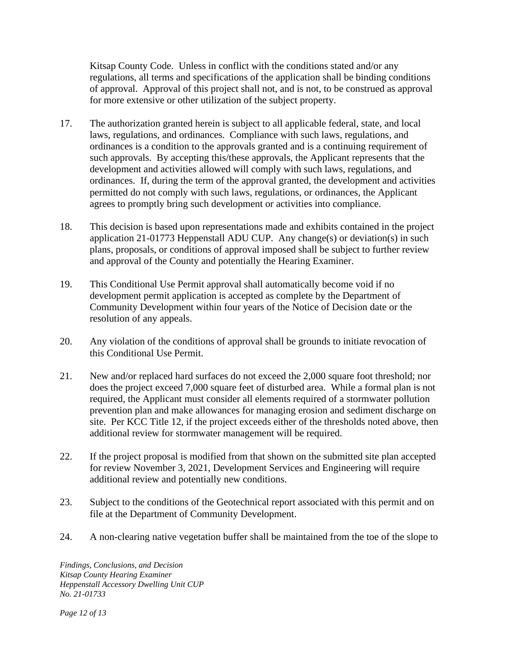Kitsap County Code. Unless in conflict with the conditions stated and/or any regulations, all terms and specifications of the application shall be binding conditions of approval. Approval of this project shall not, and is not, to be construed as approval for more extensive or other utilization of the subject property.

- 17. The authorization granted herein is subject to all applicable federal, state, and local laws, regulations, and ordinances. Compliance with such laws, regulations, and ordinances is a condition to the approvals granted and is a continuing requirement of such approvals. By accepting this/these approvals, the Applicant represents that the development and activities allowed will comply with such laws, regulations, and ordinances. If, during the term of the approval granted, the development and activities permitted do not comply with such laws, regulations, or ordinances, the Applicant agrees to promptly bring such development or activities into compliance.
- 18. This decision is based upon representations made and exhibits contained in the project application 21-01773 Heppenstall ADU CUP. Any change(s) or deviation(s) in such plans, proposals, or conditions of approval imposed shall be subject to further review and approval of the County and potentially the Hearing Examiner.
- 19. This Conditional Use Permit approval shall automatically become void if no development permit application is accepted as complete by the Department of Community Development within four years of the Notice of Decision date or the resolution of any appeals.
- 20. Any violation of the conditions of approval shall be grounds to initiate revocation of this Conditional Use Permit.
- 21. New and/or replaced hard surfaces do not exceed the 2,000 square foot threshold; nor does the project exceed 7,000 square feet of disturbed area. While a formal plan is not required, the Applicant must consider all elements required of a stormwater pollution prevention plan and make allowances for managing erosion and sediment discharge on site. Per KCC Title 12, if the project exceeds either of the thresholds noted above, then additional review for stormwater management will be required.
- 22. If the project proposal is modified from that shown on the submitted site plan accepted for review November 3, 2021, Development Services and Engineering will require additional review and potentially new conditions.
- 23. Subject to the conditions of the Geotechnical report associated with this permit and on file at the Department of Community Development.
- 24. A non-clearing native vegetation buffer shall be maintained from the toe of the slope to

*Findings, Conclusions, and Decision Kitsap County Hearing Examiner Heppenstall Accessory Dwelling Unit CUP No. 21-01733*

*Page 12 of 13*